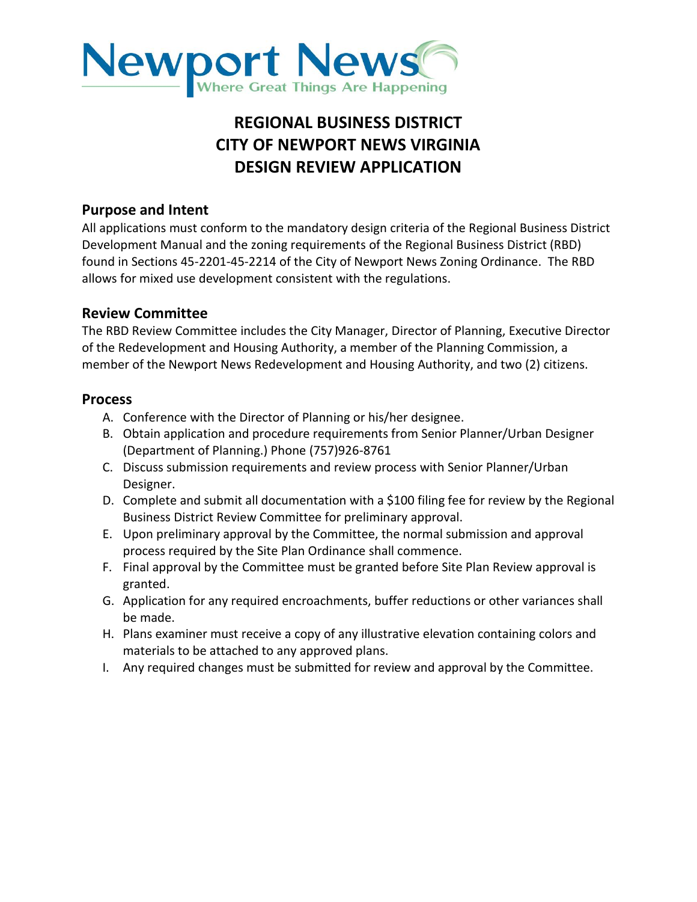

# **REGIONAL BUSINESS DISTRICT CITY OF NEWPORT NEWS VIRGINIA DESIGN REVIEW APPLICATION**

# **Purpose and Intent**

All applications must conform to the mandatory design criteria of the Regional Business District Development Manual and the zoning requirements of the Regional Business District (RBD) found in Sections 45-2201-45-2214 of the City of Newport News Zoning Ordinance. The RBD allows for mixed use development consistent with the regulations.

### **Review Committee**

The RBD Review Committee includes the City Manager, Director of Planning, Executive Director of the Redevelopment and Housing Authority, a member of the Planning Commission, a member of the Newport News Redevelopment and Housing Authority, and two (2) citizens.

#### **Process**

- A. Conference with the Director of Planning or his/her designee.
- B. Obtain application and procedure requirements from Senior Planner/Urban Designer (Department of Planning.) Phone (757)926-8761
- C. Discuss submission requirements and review process with Senior Planner/Urban Designer.
- D. Complete and submit all documentation with a \$100 filing fee for review by the Regional Business District Review Committee for preliminary approval.
- E. Upon preliminary approval by the Committee, the normal submission and approval process required by the Site Plan Ordinance shall commence.
- F. Final approval by the Committee must be granted before Site Plan Review approval is granted.
- G. Application for any required encroachments, buffer reductions or other variances shall be made.
- H. Plans examiner must receive a copy of any illustrative elevation containing colors and materials to be attached to any approved plans.
- I. Any required changes must be submitted for review and approval by the Committee.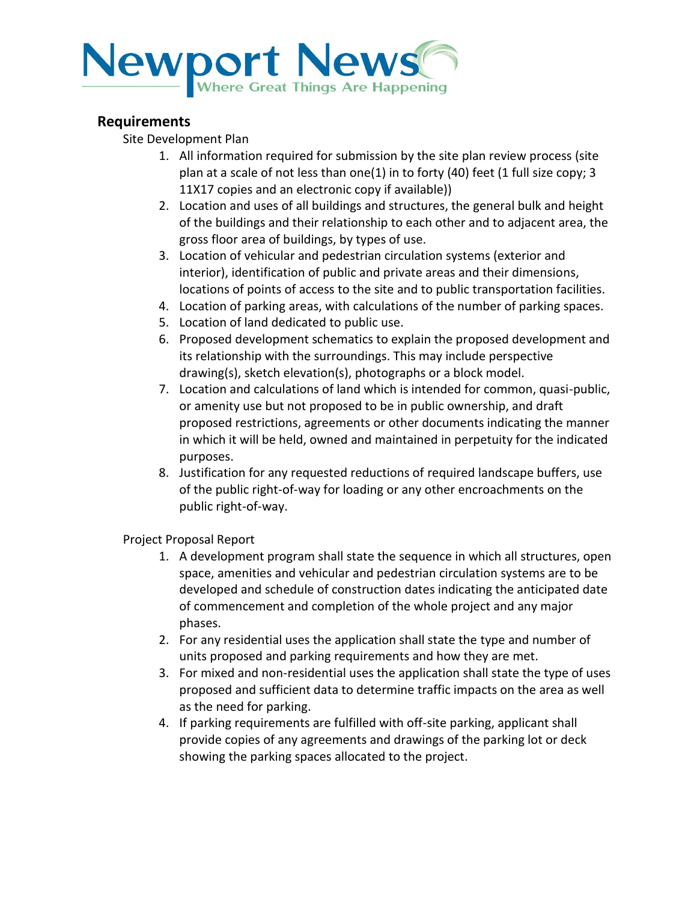

# **Requirements**

Site Development Plan

- 1. All information required for submission by the site plan review process (site plan at a scale of not less than one(1) in to forty (40) feet (1 full size copy; 3 11X17 copies and an electronic copy if available))
- 2. Location and uses of all buildings and structures, the general bulk and height of the buildings and their relationship to each other and to adjacent area, the gross floor area of buildings, by types of use.
- 3. Location of vehicular and pedestrian circulation systems (exterior and interior), identification of public and private areas and their dimensions, locations of points of access to the site and to public transportation facilities.
- 4. Location of parking areas, with calculations of the number of parking spaces.
- 5. Location of land dedicated to public use.
- 6. Proposed development schematics to explain the proposed development and its relationship with the surroundings. This may include perspective drawing(s), sketch elevation(s), photographs or a block model.
- 7. Location and calculations of land which is intended for common, quasi-public, or amenity use but not proposed to be in public ownership, and draft proposed restrictions, agreements or other documents indicating the manner in which it will be held, owned and maintained in perpetuity for the indicated purposes.
- 8. Justification for any requested reductions of required landscape buffers, use of the public right-of-way for loading or any other encroachments on the public right-of-way.

Project Proposal Report

- 1. A development program shall state the sequence in which all structures, open space, amenities and vehicular and pedestrian circulation systems are to be developed and schedule of construction dates indicating the anticipated date of commencement and completion of the whole project and any major phases.
- 2. For any residential uses the application shall state the type and number of units proposed and parking requirements and how they are met.
- 3. For mixed and non-residential uses the application shall state the type of uses proposed and sufficient data to determine traffic impacts on the area as well as the need for parking.
- 4. If parking requirements are fulfilled with off-site parking, applicant shall provide copies of any agreements and drawings of the parking lot or deck showing the parking spaces allocated to the project.